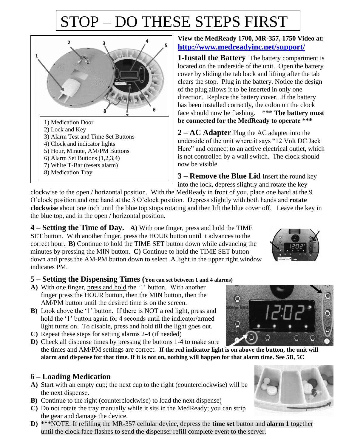# STOP – DO THESE STEPS FIRST



#### **View the MedReady 1700, MR-357, 1750 Video at: <http://www.medreadyinc.net/support/>**

**1-Install the Battery** The battery compartment is located on the underside of the unit. Open the battery cover by sliding the tab back and lifting after the tab clears the stop. Plug in the battery. Notice the design of the plug allows it to be inserted in only one direction. Replace the battery cover. If the battery has been installed correctly, the colon on the clock face should now be flashing. \*\*\* **The battery must be connected for the MedReady to operate \*\*\***

**2 – AC Adapter** Plug the AC adapter into the underside of the unit where it says "12 Volt DC Jack Here" and connect to an active electrical outlet, which is not controlled by a wall switch. The clock should now be visible.

**3 – Remove the Blue Lid** Insert the round key into the lock, depress slightly and rotate the key

clockwise to the open / horizontal position. With the MedReady in front of you, place one hand at the 9 O'clock position and one hand at the 3 O'clock position. Depress slightly with both hands and **rotate clockwise** about one inch until the blue top stops rotating and then lift the blue cover off. Leave the key in the blue top, and in the open / horizontal position.

**4 – Setting the Time of Day. A)** With one finger, press and hold the TIME SET button. With another finger, press the HOUR button until it advances to the correct hour. **B)** Continue to hold the TIME SET button down while advancing the minutes by pressing the MIN button. **C)** Continue to hold the TIME SET button down and press the AM-PM button down to select. A light in the upper right window indicates PM.

### **5 – Setting the Dispensing Times (You can set between 1 and 4 alarms)**

- **A)** With one finger, press and hold the '1' button. With another finger press the HOUR button, then the MIN button, then the AM/PM button until the desired time is on the screen.
- **B)** Look above the '1' button. If there is NOT a red light, press and hold the '1' button again for 4 seconds until the indicator/armed light turns on. To disable, press and hold till the light goes out.
- **C)** Repeat these steps for setting alarms 2-4 (if needed)
- **D)** Check all dispense times by pressing the buttons 1-4 to make sure the times and AM/PM settings are correct. **If the red indicator light is on above the button, the unit will alarm and dispense for that time. If it is not on, nothing will happen for that alarm time. See 5B, 5C**

### **6 – Loading Medication**

- **A)** Start with an empty cup; the next cup to the right (counterclockwise) will be the next dispense.
- **B)** Continue to the right (counterclockwise) to load the next dispense)
- **C)** Do not rotate the tray manually while it sits in the MedReady; you can strip the gear and damage the device.
- **D)** \*\*\*NOTE: If refilling the MR-357 cellular device, depress the **time set** button and **alarm 1** together until the clock face flashes to send the dispenser refill complete event to the server.





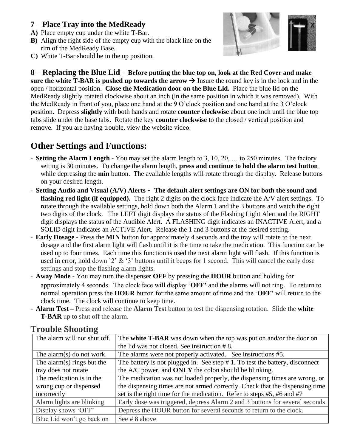### **7 – Place Tray into the MedReady**

- **A)** Place empty cup under the white T-Bar.
- **B)** Align the right side of the empty cup with the black line on the rim of the MedReady Base.
- **C)** White T-Bar should be in the up position.



**8 – Replacing the Blue Lid – Before putting the blue top on, look at the Red Cover and make sure the white T-BAR is pushed up towards the arrow**  $\rightarrow$  **Insure the round key is in the lock and in the** open / horizontal position. **Close the Medication door on the Blue Lid.** Place the blue lid on the MedReady slightly rotated clockwise about an inch (in the same position in which it was removed). With the MedReady in front of you, place one hand at the 9 O'clock position and one hand at the 3 O'clock position. Depress **slightly** with both hands and rotate **counter clockwise** about one inch until the blue top tabs slide under the base tabs. Rotate the key **counter clockwise** to the closed / vertical position and remove. If you are having trouble, view the website video.

### **Other Settings and Functions:**

- **Setting the Alarm Length** You may set the alarm length to 3, 10, 20, … to 250 minutes. The factory setting is 30 minutes. To change the alarm length, **press and continue to hold the alarm test button**  while depressing the **min** button. The available lengths will rotate through the display. Release buttons on your desired length.
- **Setting Audio and Visual (A/V) Alerts The default alert settings are ON for both the sound and flashing red light (if equipped).** The right 2 digits on the clock face indicate the A/V alert settings. To rotate through the available settings, hold down both the Alarm 1 and the 3 buttons and watch the right two digits of the clock. The LEFT digit displays the status of the Flashing Light Alert and the RIGHT digit displays the status of the Audible Alert. A FLASHING digit indicates an INACTIVE Alert, and a SOLID digit indicates an ACTIVE Alert. Release the 1 and 3 buttons at the desired setting.
- **Early Dosage** Press the **MIN** button for approximately 4 seconds and the tray will rotate to the next dosage and the first alarm light will flash until it is the time to take the medication. This function can be used up to four times. Each time this function is used the next alarm light will flash. If this function is used in error, hold down '2' & '3' buttons until it beeps for 1 second. This will cancel the early dose settings and stop the flashing alarm lights.
- **Away Mode** You may turn the dispenser **OFF** by pressing the **HOUR** button and holding for approximately 4 seconds. The clock face will display '**OFF'** and the alarms will not ring. To return to normal operation press the **HOUR** button for the same amount of time and the '**OFF'** will return to the clock time. The clock will continue to keep time.
- **Alarm Test –** Press and release the **Alarm Test** button to test the dispensing rotation. Slide the **white T-BAR** up to shut off the alarm.

| The alarm will not shut off.  | The white T-BAR was down when the top was put on and/or the door on             |
|-------------------------------|---------------------------------------------------------------------------------|
|                               | the lid was not closed. See instruction #8.                                     |
| The alarm(s) do not work.     | The alarms were not properly activated. See instructions #5.                    |
| The alarm $(s)$ rings but the | The battery is not plugged in. See step $# 1$ . To test the battery, disconnect |
| tray does not rotate          | the A/C power, and <b>ONLY</b> the colon should be blinking.                    |
| The medication is in the      | The medication was not loaded properly, the dispensing times are wrong, or      |
| wrong cup or dispensed        | the dispensing times are not armed correctly. Check that the dispensing time    |
| incorrectly                   | set is the right time for the medication. Refer to steps #5, #6 and #7          |
| Alarm lights are blinking     | Early dose was triggered, depress Alarm 2 and 3 buttons for several seconds     |
| Display shows 'OFF'           | Depress the HOUR button for several seconds to return to the clock.             |
| Blue Lid won't go back on     | See #8 above                                                                    |

### **Trouble Shooting**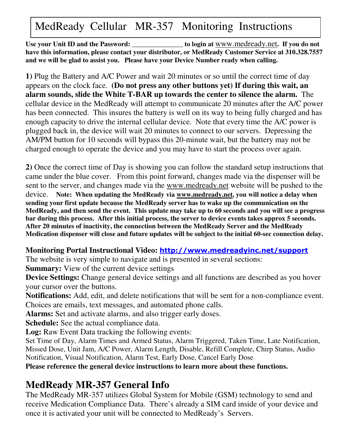# MedReady Cellular MR-357 Monitoring Instructions

**Use your Unit ID and the Password: \_\_\_\_\_\_\_\_\_\_\_\_\_\_\_ to login at** www.medready.net**. If you do not have this information, please contact your distributor, or MedReady Customer Service at 310.328.7557 and we will be glad to assist you. Please have your Device Number ready when calling.**

**1)** Plug the Battery and A/C Power and wait 20 minutes or so until the correct time of day appears on the clock face. **(Do not press any other buttons yet) If during this wait, an alarm sounds, slide the White T-BAR up towards the center to silence the alarm.** The cellular device in the MedReady will attempt to communicate 20 minutes after the A/C power has been connected. This insures the battery is well on its way to being fully charged and has enough capacity to drive the internal cellular device. Note that every time the A/C power is plugged back in, the device will wait 20 minutes to connect to our servers. Depressing the AM/PM button for 10 seconds will bypass this 20-minute wait, but the battery may not be charged enough to operate the device and you may have to start the process over again.

**2)** Once the correct time of Day is showing you can follow the standard setup instructions that came under the blue cover. From this point forward, changes made via the dispenser will be sent to the server, and changes made via the www.medready.net website will be pushed to the device. **Note: When updating the MedReady via www.medready.net, you will notice a delay when sending your first update because the MedReady server has to wake up the communication on the** MedReady, and then send the event. This update may take up to 60 seconds and you will see a progress **bar during this process. After this initial process, the server to device events takes approx 5 seconds. After 20 minutes of inactivity, the connection between the MedReady Server and the MedReady Medication dispenser will close and future updates will be subject to the initial 60-sec connection delay.**

### Monitoring Portal Instructional Video: <mark>http://www.medreadyinc.net/support</mark>

The website is very simple to navigate and is presented in several sections:

**Summary:** View of the current device settings

**Device Settings:** Change general device settings and all functions are described as you hover your cursor over the buttons.

**Notifications:** Add, edit, and delete notifications that will be sent for a non-compliance event. Choices are emails, text messages, and automated phone calls.

**Alarms:** Set and activate alarms, and also trigger early doses.

**Schedule:** See the actual compliance data.

**Log:** Raw Event Data tracking the following events:

Set Time of Day, Alarm Times and Armed Status, Alarm Triggered, Taken Time, Late Notification, Missed Dose, Unit Jam, A/C Power, Alarm Length, Disable, Refill Complete, Chirp Status, Audio Notification, Visual Notification, Alarm Test, Early Dose, Cancel Early Dose

**Please reference the general device instructions to learn more about these functions.**

## **MedReady MR-357 General Info**

The MedReady MR-357 utilizes Global System for Mobile (GSM) technology to send and receive Medication Compliance Data. There's already a SIM card inside of your device and once it is activated your unit will be connected to MedReady's Servers.